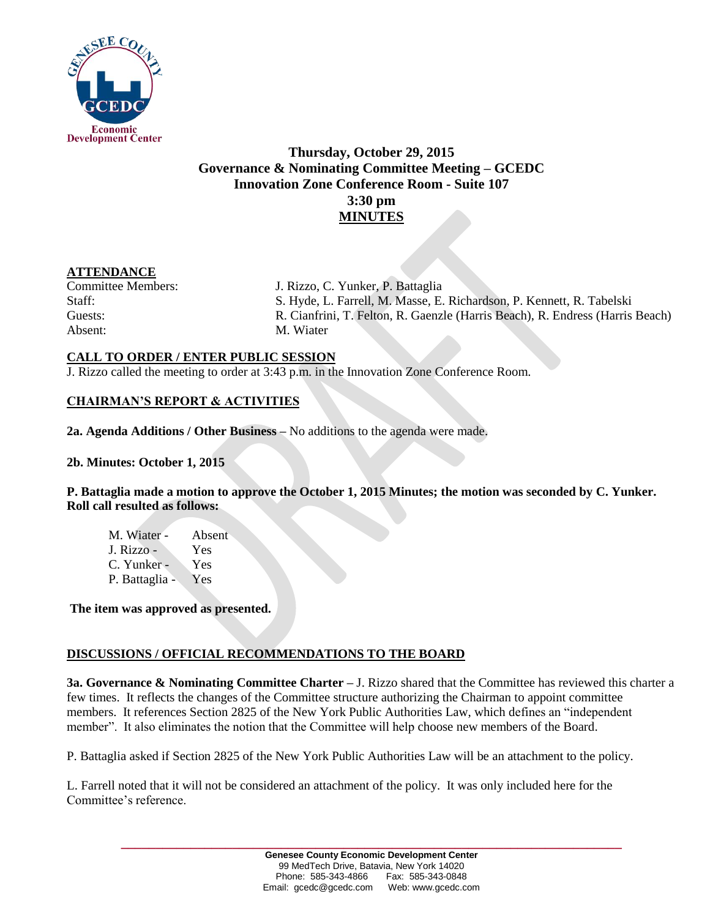

# **Thursday, October 29, 2015 Governance & Nominating Committee Meeting – GCEDC Innovation Zone Conference Room - Suite 107 3:30 pm MINUTES**

### **ATTENDANCE**

Absent: M. Wiater

Committee Members: J. Rizzo, C. Yunker, P. Battaglia Staff: S. Hyde, L. Farrell, M. Masse, E. Richardson, P. Kennett, R. Tabelski Guests: R. Cianfrini, T. Felton, R. Gaenzle (Harris Beach), R. Endress (Harris Beach)

## **CALL TO ORDER / ENTER PUBLIC SESSION**

J. Rizzo called the meeting to order at 3:43 p.m. in the Innovation Zone Conference Room.

# **CHAIRMAN'S REPORT & ACTIVITIES**

**2a. Agenda Additions / Other Business –** No additions to the agenda were made.

**2b. Minutes: October 1, 2015**

**P. Battaglia made a motion to approve the October 1, 2015 Minutes; the motion was seconded by C. Yunker. Roll call resulted as follows:**

M. Wiater - Absent J. Rizzo - Yes C. Yunker - Yes P. Battaglia - Yes

**The item was approved as presented.** 

# **DISCUSSIONS / OFFICIAL RECOMMENDATIONS TO THE BOARD**

**3a. Governance & Nominating Committee Charter –** J. Rizzo shared that the Committee has reviewed this charter a few times. It reflects the changes of the Committee structure authorizing the Chairman to appoint committee members. It references Section 2825 of the New York Public Authorities Law, which defines an "independent member". It also eliminates the notion that the Committee will help choose new members of the Board.

P. Battaglia asked if Section 2825 of the New York Public Authorities Law will be an attachment to the policy.

L. Farrell noted that it will not be considered an attachment of the policy. It was only included here for the Committee's reference.

**\_\_\_\_\_\_\_\_\_\_\_\_\_\_\_\_\_\_\_\_\_\_\_\_\_\_\_\_\_\_\_\_\_\_\_\_\_\_\_\_\_\_\_\_\_\_\_\_\_\_\_\_\_\_\_\_\_\_\_\_\_\_\_\_\_\_\_\_\_\_\_\_**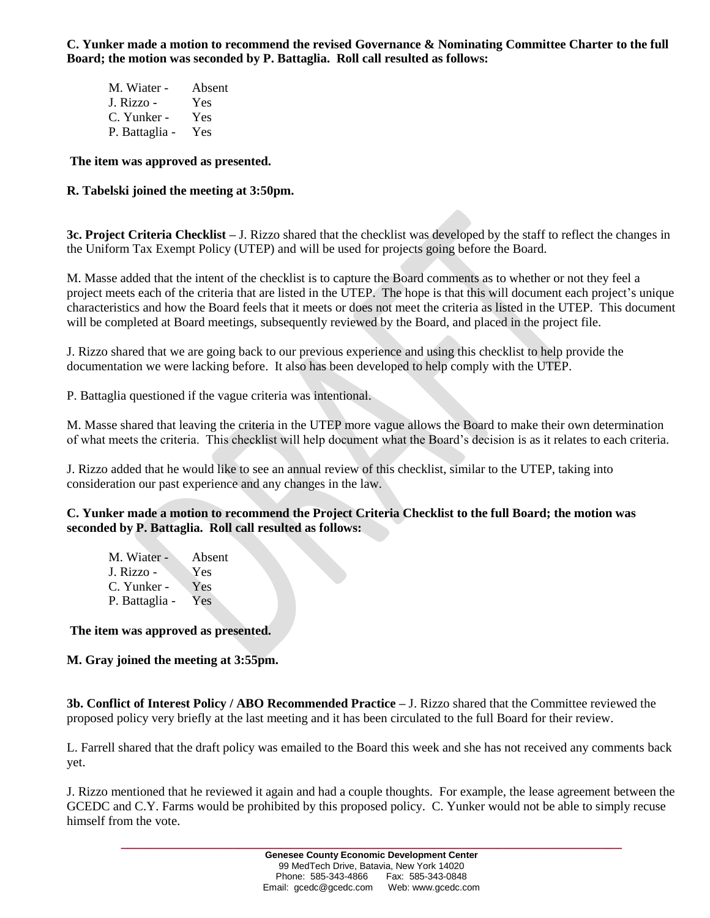**C. Yunker made a motion to recommend the revised Governance & Nominating Committee Charter to the full Board; the motion was seconded by P. Battaglia. Roll call resulted as follows:**

| M. Wiater -    | Absent |
|----------------|--------|
| J. Rizzo -     | Yes    |
| C. Yunker -    | Yes    |
| P. Battaglia - | Yes    |

#### **The item was approved as presented.**

### **R. Tabelski joined the meeting at 3:50pm.**

**3c. Project Criteria Checklist –** J. Rizzo shared that the checklist was developed by the staff to reflect the changes in the Uniform Tax Exempt Policy (UTEP) and will be used for projects going before the Board.

M. Masse added that the intent of the checklist is to capture the Board comments as to whether or not they feel a project meets each of the criteria that are listed in the UTEP. The hope is that this will document each project's unique characteristics and how the Board feels that it meets or does not meet the criteria as listed in the UTEP. This document will be completed at Board meetings, subsequently reviewed by the Board, and placed in the project file.

J. Rizzo shared that we are going back to our previous experience and using this checklist to help provide the documentation we were lacking before. It also has been developed to help comply with the UTEP.

P. Battaglia questioned if the vague criteria was intentional.

M. Masse shared that leaving the criteria in the UTEP more vague allows the Board to make their own determination of what meets the criteria. This checklist will help document what the Board's decision is as it relates to each criteria.

J. Rizzo added that he would like to see an annual review of this checklist, similar to the UTEP, taking into consideration our past experience and any changes in the law.

#### **C. Yunker made a motion to recommend the Project Criteria Checklist to the full Board; the motion was seconded by P. Battaglia. Roll call resulted as follows:**

| M. Wiater -    | Absent |
|----------------|--------|
| J. Rizzo -     | Yes    |
| C. Yunker -    | Yes    |
| P. Battaglia - | Yes    |

#### **The item was approved as presented.**

**M. Gray joined the meeting at 3:55pm.**

**3b. Conflict of Interest Policy / ABO Recommended Practice –** J. Rizzo shared that the Committee reviewed the proposed policy very briefly at the last meeting and it has been circulated to the full Board for their review.

L. Farrell shared that the draft policy was emailed to the Board this week and she has not received any comments back yet.

J. Rizzo mentioned that he reviewed it again and had a couple thoughts. For example, the lease agreement between the GCEDC and C.Y. Farms would be prohibited by this proposed policy. C. Yunker would not be able to simply recuse himself from the vote.

**\_\_\_\_\_\_\_\_\_\_\_\_\_\_\_\_\_\_\_\_\_\_\_\_\_\_\_\_\_\_\_\_\_\_\_\_\_\_\_\_\_\_\_\_\_\_\_\_\_\_\_\_\_\_\_\_\_\_\_\_\_\_\_\_\_\_\_\_\_\_\_\_**